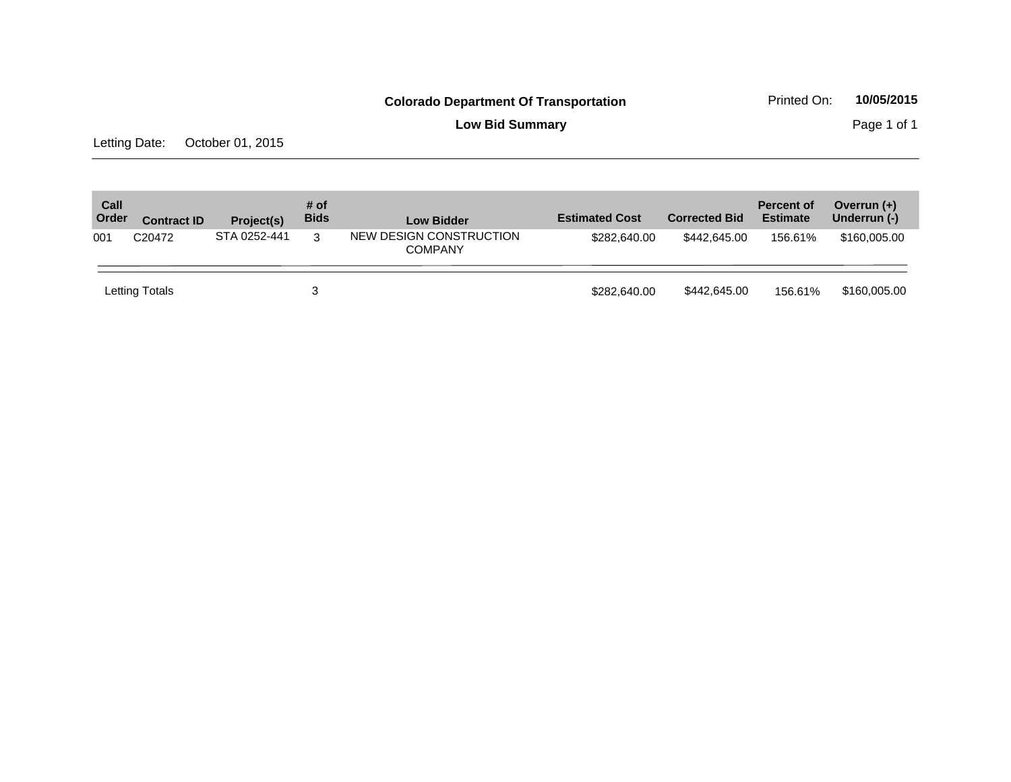**Low Bid Summary** Page 1 of 1

Letting Date: October 01, 2015

| Call<br>Order | <b>Contract ID</b> | Project(s)   | # of<br><b>Bids</b> | <b>Low Bidder</b>                         | <b>Estimated Cost</b> | <b>Corrected Bid</b> | <b>Percent of</b><br><b>Estimate</b> | Overrun $(+)$<br>Underrun (-) |
|---------------|--------------------|--------------|---------------------|-------------------------------------------|-----------------------|----------------------|--------------------------------------|-------------------------------|
| 001           | C <sub>20472</sub> | STA 0252-441 | 3                   | NEW DESIGN CONSTRUCTION<br><b>COMPANY</b> | \$282,640.00          | \$442.645.00         | 156.61%                              | \$160,005.00                  |
|               | Letting Totals     |              | 3                   |                                           | \$282,640,00          | \$442,645.00         | 156.61%                              | \$160,005.00                  |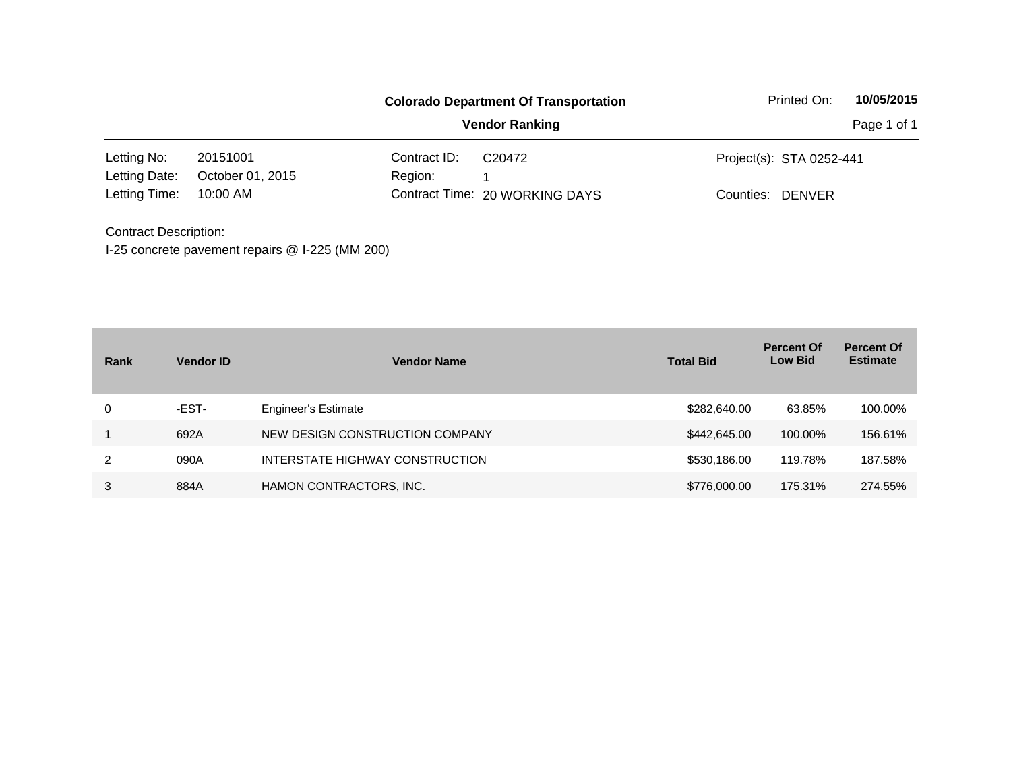|                              |                                                 |              | <b>Colorado Department Of Transportation</b> | Printed On:                | 10/05/2015  |
|------------------------------|-------------------------------------------------|--------------|----------------------------------------------|----------------------------|-------------|
|                              |                                                 |              | <b>Vendor Ranking</b>                        |                            | Page 1 of 1 |
| Letting No:                  | 20151001                                        | Contract ID: | C <sub>20472</sub>                           | Project(s): STA 0252-441   |             |
| Letting Date:                | October 01, 2015                                | Region:      |                                              |                            |             |
| Letting Time:                | 10:00 AM                                        |              | Contract Time: 20 WORKING DAYS               | <b>DENVER</b><br>Counties: |             |
| <b>Contract Description:</b> |                                                 |              |                                              |                            |             |
|                              | I-25 concrete pavement repairs @ I-225 (MM 200) |              |                                              |                            |             |

| Rank | <b>Vendor ID</b> | <b>Vendor Name</b>              | <b>Total Bid</b> | <b>Percent Of</b><br><b>Low Bid</b> | <b>Percent Of</b><br><b>Estimate</b> |
|------|------------------|---------------------------------|------------------|-------------------------------------|--------------------------------------|
| 0    | -EST-            | <b>Engineer's Estimate</b>      | \$282,640.00     | 63.85%                              | 100.00%                              |
|      | 692A             | NEW DESIGN CONSTRUCTION COMPANY | \$442,645.00     | 100.00%                             | 156.61%                              |
| 2    | 090A             | INTERSTATE HIGHWAY CONSTRUCTION | \$530,186,00     | 119.78%                             | 187.58%                              |
| 3    | 884A             | HAMON CONTRACTORS, INC.         | \$776,000.00     | 175.31%                             | 274.55%                              |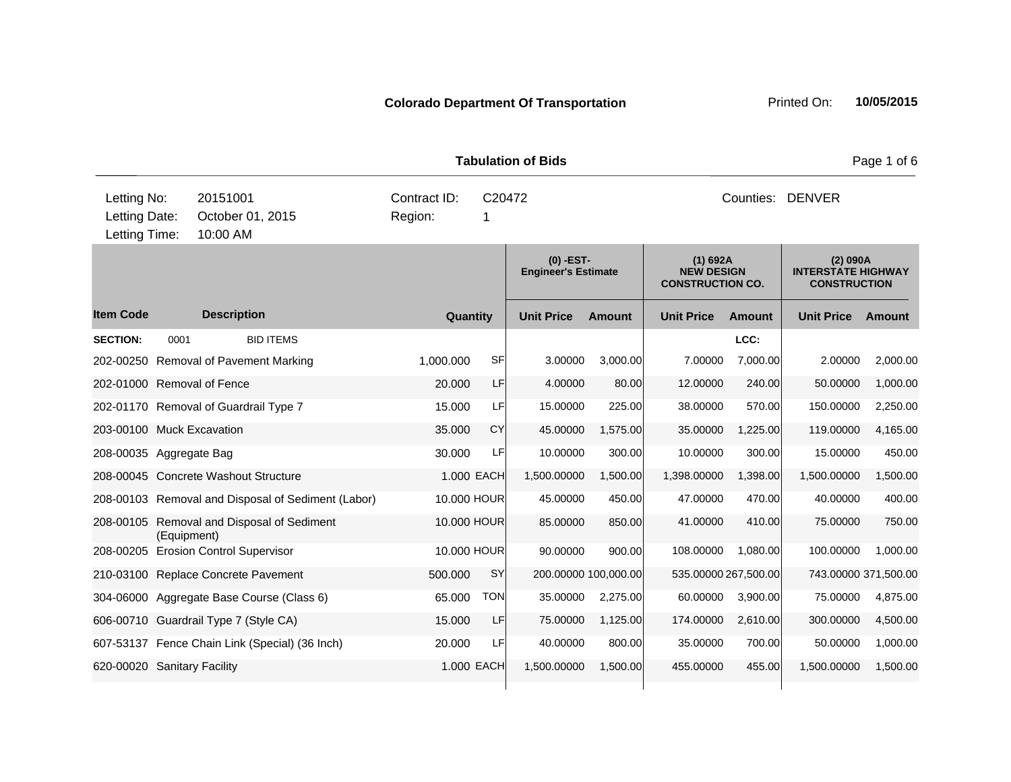**Quantity Unit Price Unit Price Ext** Item Code Description Quantity Unit Price Amount Unit Price Amount Unit Price **Ext Unit Price Amount Ext Amount (0) -EST-Engineer's Estimate (1) 692A NEW DESIGN CONSTRUCTION CO. (2) 090A INTERSTATE HIGHWAY CONSTRUCTION Description SECTION:** 0001 BID ITEMS **LCC:** 202-00250 Removal of Pavement Marking 1,000.000 SF 3.00000 3,000.00 7.00000 7,000.00 2.00000 2,000.00 202-01000 Removal of Fence 20.000 LF 4.00000 80.00 12.00000 240.00 50.00000 1,000.00 202-01170 Removal of Guardrail Type 7 15.000 LF 15.00000 225.00 38.00000 570.00 150.00000 2,250.00 203-00100 Muck Excavation 35.000 CY 45.00000 1,575.00 35.00000 1,225.00 119.00000 4,165.00 208-00035 Aggregate Bag 30.000 LF 10.00000 300.00 10.00000 300.00 15.00000 450.00 208-00045 Concrete Washout Structure 1.000 EACH 1,500.00000 1,500.00 1,398.00000 1,398.00 1,500.00000 1,500.00 208-00103 Removal and Disposal of Sediment (Labor) 10.000 HOUR 45.00000 450.00 47.00000 470.00 40.00000 400.00 208-00105 Removal and Disposal of Sediment (Equipment) 10.000 HOUR 85.00000 850.00 41.00000 410.00 75.00000 750.00 208-00205 Erosion Control Supervisor 10.000 HOUR 90.00000 900.00 108.00000 1,080.00 100.00000 1,000.00 210-03100 Replace Concrete Pavement 500.000 SY 200.00000 100,000.00 535.00000 267,500.00 743.00000 371,500.00 304-06000 Aggregate Base Course (Class 6) 65.000 TON 35.00000 2,275.00 60.00000 3,900.00 75.00000 4,875.00 606-00710 Guardrail Type 7 (Style CA) 15.000 LF 75.00000 1,125.00 174.00000 2,610.00 300.00000 4,500.00 607-53137 Fence Chain Link (Special) (36 Inch) 20.000 LF 40.00000 800.00 35.00000 700.00 50.00000 1,000.00 620-00020 Sanitary Facility 1.000 EACH 1,500.00000 1,500.00 455.00000 455.00 1,500.00000 1,500.00 **Tabulation of Bids Page 1 of 6 Page 1 of 6** 10:00 AM Counties: DENVER Letting Date: October 01, 2015 Region: 1 C20472 Region: Letting Time: Letting No: 20151001 Contract ID: Counties: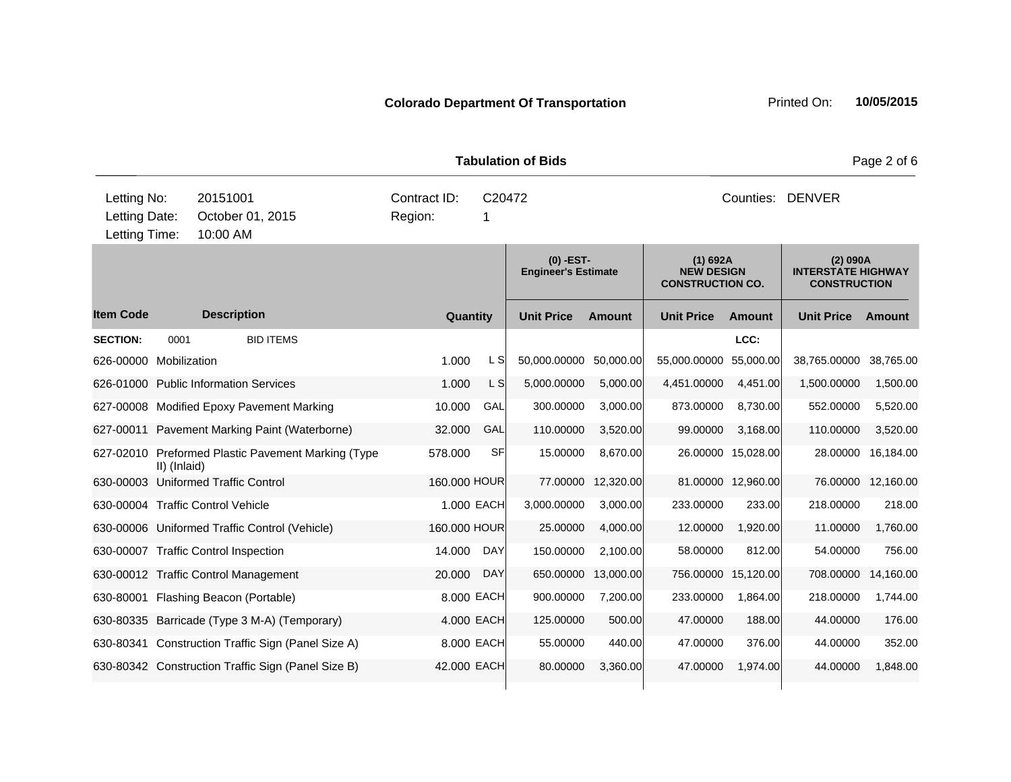**Quantity Unit Price Unit Price Ext** Item Code Description Quantity Unit Price Amount Unit Price Amount Unit Price **Ext Unit Price Amount Ext Amount (0) -EST-Engineer's Estimate (1) 692A NEW DESIGN CONSTRUCTION CO. (2) 090A INTERSTATE HIGHWAY CONSTRUCTION Description SECTION:** 0001 BID ITEMS **LCC:** 626-00000 Mobilization 1.000 L S 50,000.00000 50,000.00 55,000.00000 55,000.00 38,765.00000 38,765.00 626-01000 Public Information Services 1.500.00 C S 1.000 L S 5,000.00000 5,000.00 4,451.00000 4,451.00 1,500.0000 1,500.00 627-00008 Modified Epoxy Pavement Marking 10.000 GAL 300.00000 3,000.00 873.00000 8,730.00 552.00000 5,520.00 627-00011 Pavement Marking Paint (Waterborne) 32.000 GAL 110.00000 3,520.00 99.00000 3,168.00 110.00000 3,520.00 627-02010 Preformed Plastic Pavement Marking (Type II) (Inlaid) 578.000 SF 15.00000 8,670.00 26.00000 15,028.00 28.00000 16,184.00 630-00003 Uniformed Traffic Control 160.000 HOUR 77.00000 12,320.00 81.00000 12,960.00 76.00000 12,160.00 630-00004 Traffic Control Vehicle 1.000 EACH 3,000.00000 3,000.00 233.00000 233.00 218.00000 218.00 630-00006 Uniformed Traffic Control (Vehicle) 160.000 HOUR 25.00000 4,000.00 12.00000 1,920.00 11.00000 1,760.00 630-00007 Traffic Control Inspection 14.000 DAY 150.00000 2,100.00 58.00000 812.00 54.00000 756.00 630-00012 Traffic Control Management 20.000 DAY 650.00000 13,000.00 756.00000 15,120.00 708.00000 14,160.00 630-80001 Flashing Beacon (Portable) 8.000 EACH 900.00000 7,200.00 233.00000 1,864.00 218.00000 1,744.00 630-80335 Barricade (Type 3 M-A) (Temporary) 4.000 EACH 125.00000 500.00 47.00000 188.00 44.00000 176.00 630-80341 Construction Traffic Sign (Panel Size A) 8.000 EACH 55.00000 440.00 47.00000 376.00 44.00000 352.00 630-80342 Construction Traffic Sign (Panel Size B) 42.000 EACH 80.00000 3,360.00 47.00000 1,974.00 44.00000 1,848.00 **Tabulation of Bids** Page 2 of 6 10:00 AM Counties: DENVER Letting Date: October 01, 2015 Region: 1 C20472 Region: Letting Time: Letting No: 20151001 Contract ID: Counties:

**Colorado Department Of Transportation Printed On: 10/05/2015**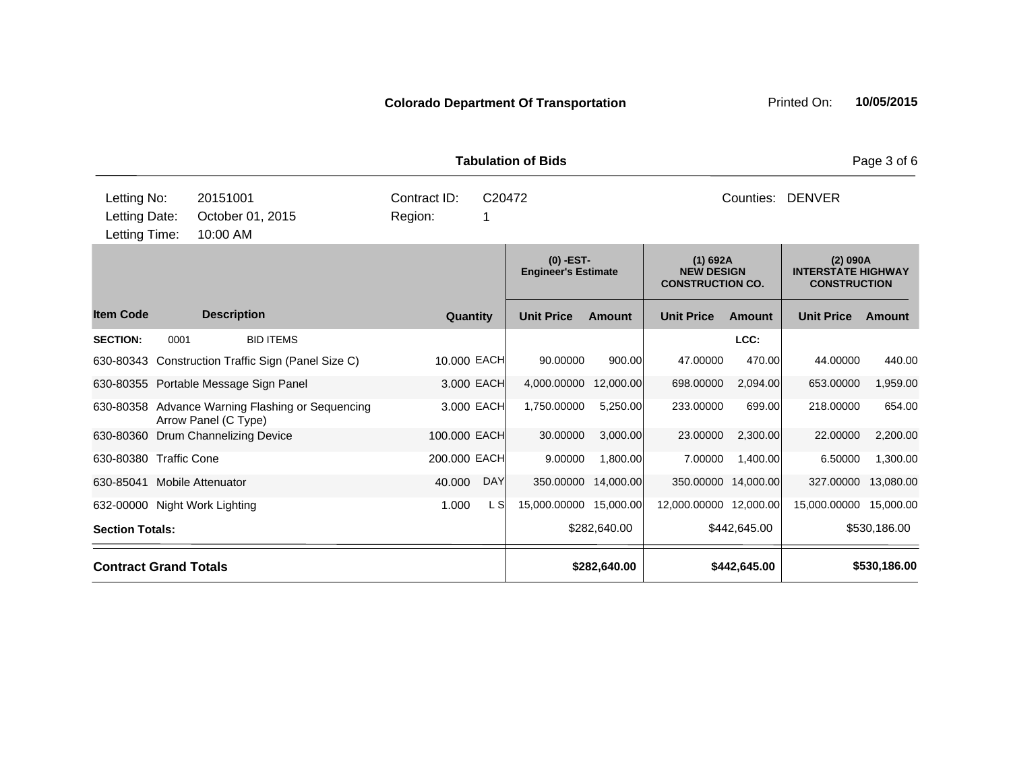**Quantity Unit Price Unit Price Ext** Item Code Description Quantity Unit Price Amount Unit Price Amount Unit Price **Ext Unit Price Amount Ext Amount (0) -EST-Engineer's Estimate (1) 692A NEW DESIGN CONSTRUCTION CO. (2) 090A INTERSTATE HIGHWAY CONSTRUCTION Description SECTION:** 0001 BID ITEMS **LCC:** 630-80343 Construction Traffic Sign (Panel Size C) 10.000 EACH 90.00000 900.00 47.00000 470.00 44.00000 440.00 630-80355 Portable Message Sign Panel 3.000 EACH 4,000.00000 12,000.00 698.00000 2,094.00 653.00000 1,959.00 630-80358 Advance Warning Flashing or Sequencing Arrow Panel (C Type) 3.000 EACH 1,750.00000 5,250.00 233.00000 699.00 218.00000 654.00 630-80360 Drum Channelizing Device 100.000 EACH 30.00000 3,000.00 23.00000 2,300.00 22.00000 2,200.00 630-80380 Traffic Cone 200.000 EACH 9.00000 1,800.00 7.00000 1,400.00 6.50000 1,300.00 **Tabulation of Bids** Page 3 of 6 10:00 AM Counties: DENVER Letting Date: October 01, 2015 Region: 1 C20472 Region: Letting Time: Letting No: 20151001 Contract ID: Counties:

630-85041 Mobile Attenuator 40.000 DAY 350.00000 14,000.00 350.00000 14,000.00 327.00000 13,080.00 632-00000 Night Work Lighting  $1.000$  L S  $15,000.00000$  15,000.0000 12,000.00000 12,000.000 15,000.000 15,000.00 **Section Totals: \$282,640.00 \$442,645.00 \$530,186.00 Contract Grand Totals \$282,640.00 \$442,645.00 \$530,186.00**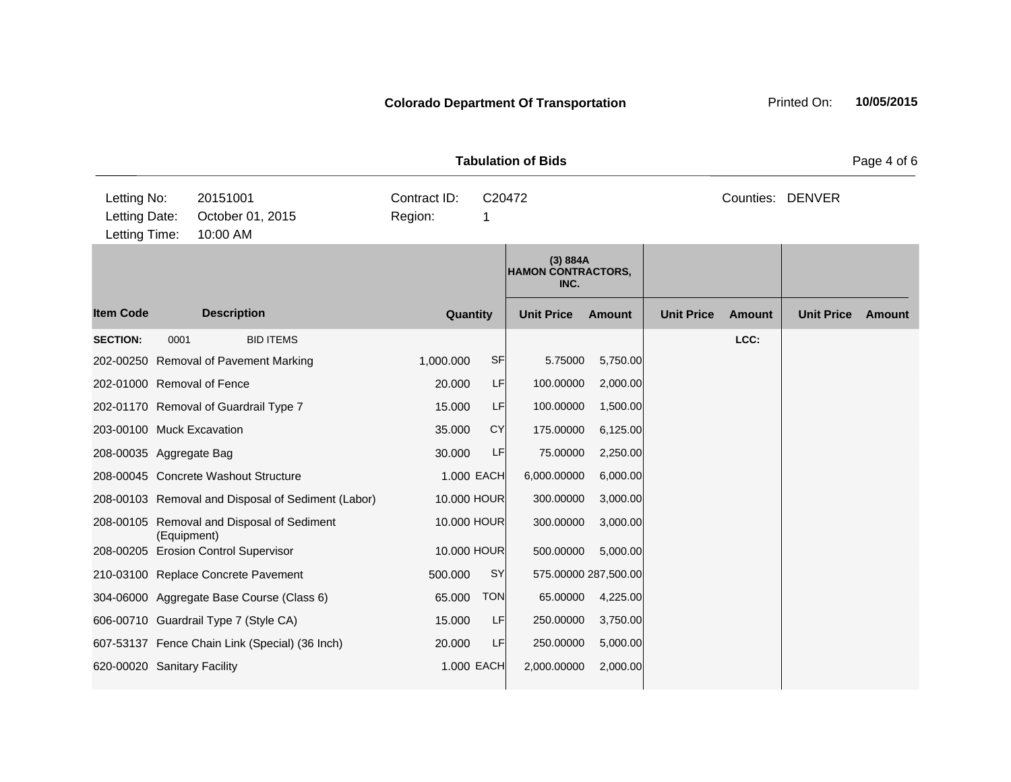**Quantity Unit Price Unit Price Item Code Amount Unit Price Amount Ext Ext Unit Price Amount Ext (3) 884A HAMON CONTRACTORS, INC. Description SECTION:** 0001 BID ITEMS **LCC:** 202-00250 Removal of Pavement Marking 1,000.000 SF 5.75000 5,750.00 202-01000 Removal of Fence 20.000 LF 100.00000 2,000.00 202-01170 Removal of Guardrail Type 7 15.000 LF 100.00000 1,500.00 203-00100 Muck Excavation 35.000 CY 175.00000 6,125.00 208-00035 Aggregate Bag 30.000 LF 75.00000 2,250.00 208-00045 Concrete Washout Structure 1.000 EACH 6,000.00000 6,000.00 208-00103 Removal and Disposal of Sediment (Labor) 10.000 HOUR 300.00000 3,000.00 208-00105 Removal and Disposal of Sediment (Equipment) 10.000 HOUR 300.00000 3,000.00 208-00205 Erosion Control Supervisor 10.000 HOUR 500.00000 5,000.00 210-03100 Replace Concrete Pavement 500.000 SY 575.00000 287,500.00 304-06000 Aggregate Base Course (Class 6) 65.000 TON 65.00000 4,225.00 606-00710 Guardrail Type 7 (Style CA) 15.000 LF 250.00000 3,750.00 607-53137 Fence Chain Link (Special) (36 Inch) 20.000 LF 250.00000 5,000.00 620-00020 Sanitary Facility 1.000 EACH 2,000.00000 2,000.00 **Tabulation of Bids** Page 4 of 6 10:00 AM Counties: DENVER Letting Date: October 01, 2015 Region: 1 C20472 Region: Letting Time: Letting No: 20151001 Contract ID: Counties: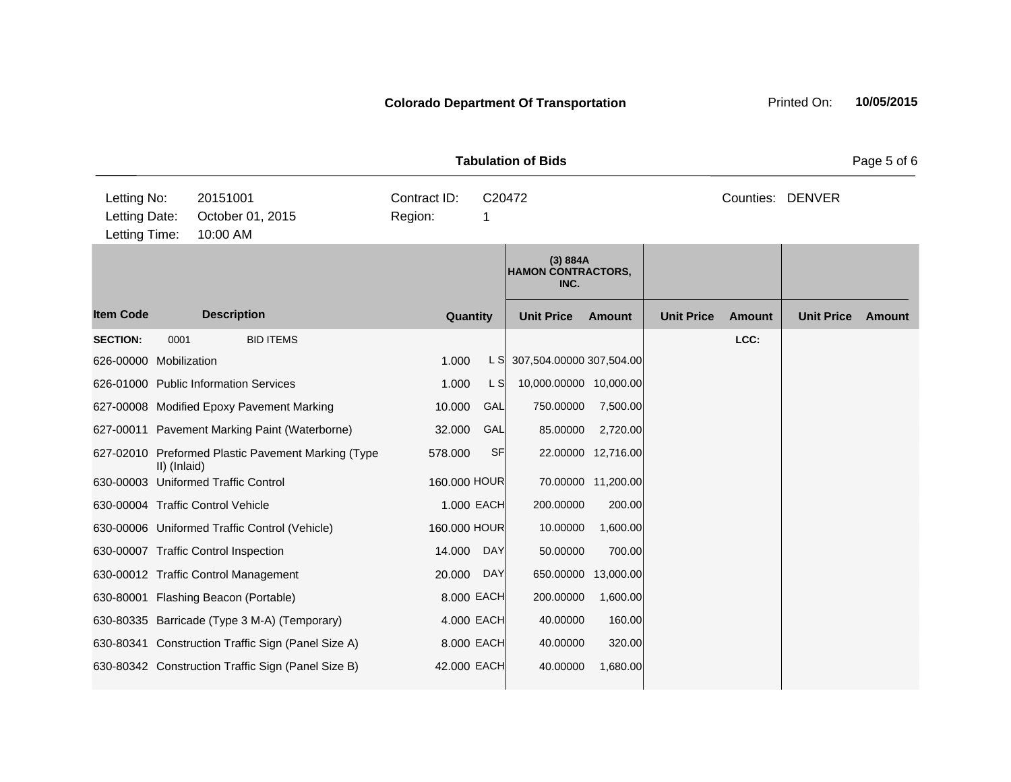|                        |                                                                                           |                                                    |                         |             | <b>Tabulation of Bids</b>                     |                    |                   |                  |                   | Page 5 of 6   |
|------------------------|-------------------------------------------------------------------------------------------|----------------------------------------------------|-------------------------|-------------|-----------------------------------------------|--------------------|-------------------|------------------|-------------------|---------------|
|                        | Letting No:<br>20151001<br>Letting Date:<br>October 01, 2015<br>Letting Time:<br>10:00 AM |                                                    | Contract ID:<br>Region: | C20472<br>1 |                                               |                    |                   | Counties: DENVER |                   |               |
|                        |                                                                                           |                                                    |                         |             | (3) 884A<br><b>HAMON CONTRACTORS,</b><br>INC. |                    |                   |                  |                   |               |
| <b>Item Code</b>       |                                                                                           | <b>Description</b>                                 | Quantity                |             | <b>Unit Price</b>                             | <b>Amount</b>      | <b>Unit Price</b> | <b>Amount</b>    | <b>Unit Price</b> | <b>Amount</b> |
| <b>SECTION:</b>        | 0001                                                                                      | <b>BID ITEMS</b>                                   |                         |             |                                               |                    |                   | LCC:             |                   |               |
| 626-00000 Mobilization |                                                                                           |                                                    | 1.000                   | L S         | 307,504.00000 307,504.00                      |                    |                   |                  |                   |               |
|                        |                                                                                           | 626-01000 Public Information Services              | 1.000                   | L S         | 10,000.00000 10,000.00                        |                    |                   |                  |                   |               |
|                        |                                                                                           | 627-00008 Modified Epoxy Pavement Marking          | 10.000                  | GAL         | 750.00000                                     | 7,500.00           |                   |                  |                   |               |
|                        |                                                                                           | 627-00011 Pavement Marking Paint (Waterborne)      | 32.000                  | GAL         | 85.00000                                      | 2,720.00           |                   |                  |                   |               |
|                        | II) (Inlaid)                                                                              | 627-02010 Preformed Plastic Pavement Marking (Type | 578.000                 | <b>SF</b>   |                                               | 22.00000 12,716.00 |                   |                  |                   |               |
|                        |                                                                                           | 630-00003 Uniformed Traffic Control                | 160.000 HOUR            |             |                                               | 70.00000 11,200.00 |                   |                  |                   |               |
|                        |                                                                                           | 630-00004 Traffic Control Vehicle                  |                         | 1.000 EACH  | 200.00000                                     | 200.00             |                   |                  |                   |               |
|                        |                                                                                           | 630-00006 Uniformed Traffic Control (Vehicle)      | 160.000 HOUR            |             | 10.00000                                      | 1,600.00           |                   |                  |                   |               |
|                        |                                                                                           | 630-00007 Traffic Control Inspection               | 14.000                  | <b>DAY</b>  | 50.00000                                      | 700.00             |                   |                  |                   |               |
|                        |                                                                                           | 630-00012 Traffic Control Management               | 20.000                  | <b>DAY</b>  | 650.00000                                     | 13,000.00          |                   |                  |                   |               |
|                        |                                                                                           | 630-80001 Flashing Beacon (Portable)               | 8.000 EACH              |             | 200.00000                                     | 1,600.00           |                   |                  |                   |               |
|                        |                                                                                           | 630-80335 Barricade (Type 3 M-A) (Temporary)       | 4.000 EACH              |             | 40.00000                                      | 160.00             |                   |                  |                   |               |
|                        |                                                                                           | 630-80341 Construction Traffic Sign (Panel Size A) | 8.000 EACH              |             | 40.00000                                      | 320.00             |                   |                  |                   |               |
|                        |                                                                                           | 630-80342 Construction Traffic Sign (Panel Size B) | 42.000 EACH             |             | 40.00000                                      | 1,680.00           |                   |                  |                   |               |
|                        |                                                                                           |                                                    |                         |             |                                               |                    |                   |                  |                   |               |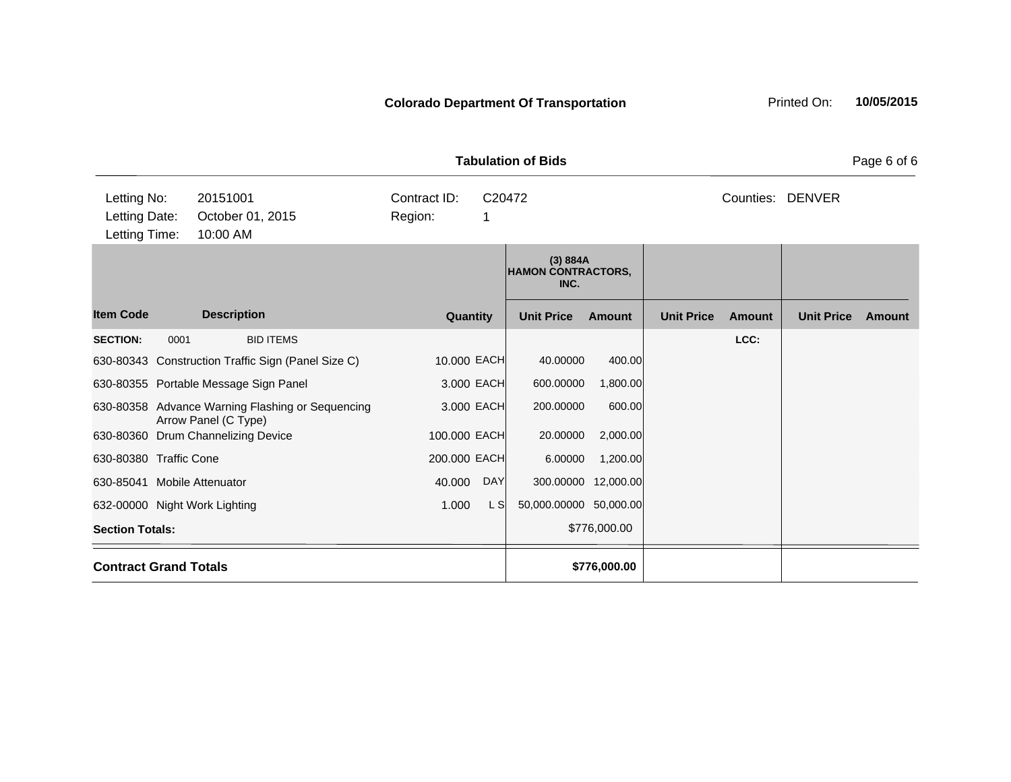**Quantity Unit Price Unit Price Item Code Amount Unit Price Amount Ext Ext Unit Price Amount Ext (3) 884A HAMON CONTRACTORS, INC. Description SECTION:** 0001 BID ITEMS **LCC:** 630-80343 Construction Traffic Sign (Panel Size C) 10.000 EACH 40.00000 400.00 630-80355 Portable Message Sign Panel 3.000 EACH 600.00000 1,800.00 630-80358 Advance Warning Flashing or Sequencing Arrow Panel (C Type) 3.000 EACH 200.00000 600.00 630-80360 Drum Channelizing Device 100.000 EACH 20.00000 2,000.00 630-80380 Traffic Cone 200.000 EACH 6.00000 1,200.00 630-85041 Mobile Attenuator 40.000 DAY 300.00000 12,000.00 632-00000 Night Work Lighting 1.000 L S 50,000.00000 50,000.00 **Section Totals:**  $$776,000.00$ **Contract Grand Totals \$776,000.00 Tabulation of Bids** Page 6 of 6 10:00 AM Counties: DENVER Letting Date: October 01, 2015 Region: 1 C20472 Region: Letting Time: Letting No: 20151001 Contract ID: Counties: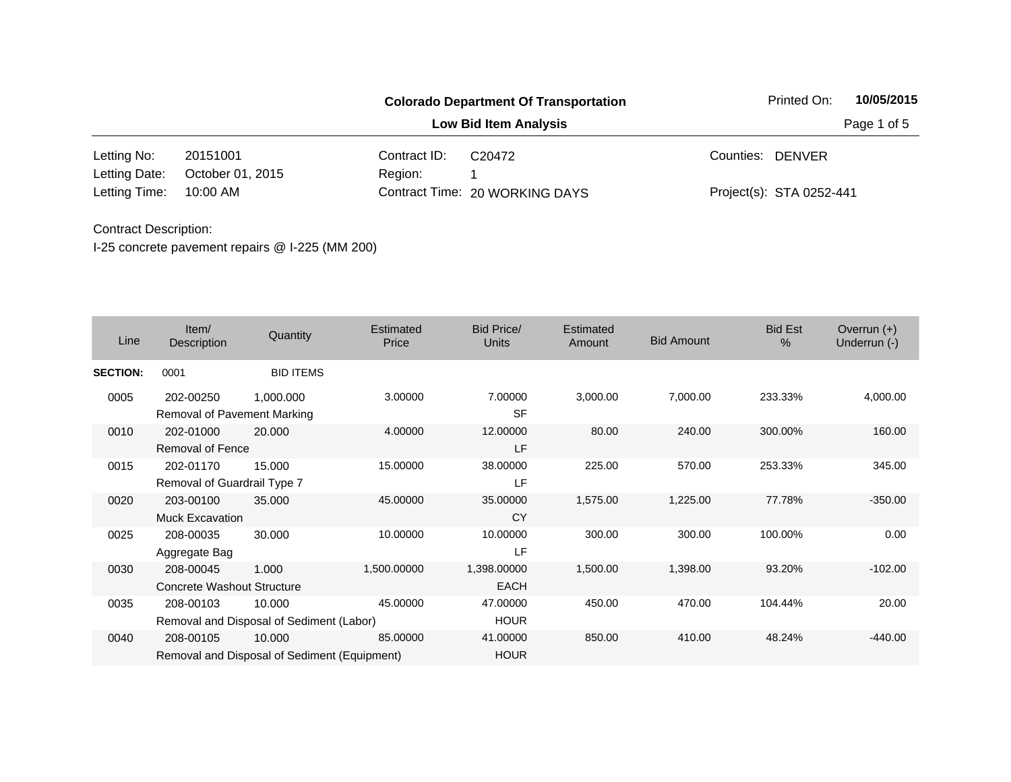|               |                  |              | <b>Colorado Department Of Transportation</b> | Printed On:              | 10/05/2015  |
|---------------|------------------|--------------|----------------------------------------------|--------------------------|-------------|
|               |                  |              | <b>Low Bid Item Analysis</b>                 |                          | Page 1 of 5 |
| Letting No:   | 20151001         | Contract ID: | C <sub>20472</sub>                           | Counties: DENVER         |             |
| Letting Date: | October 01, 2015 | Region:      |                                              |                          |             |
| Letting Time: | 10:00 AM         |              | Contract Time: 20 WORKING DAYS               | Project(s): STA 0252-441 |             |

| Line            | Item/<br>Description                     | Quantity                                               | Estimated<br>Price | <b>Bid Price/</b><br><b>Units</b> | Estimated<br>Amount | <b>Bid Amount</b> | <b>Bid Est</b><br>% | Overrun $(+)$<br>Underrun (-) |
|-----------------|------------------------------------------|--------------------------------------------------------|--------------------|-----------------------------------|---------------------|-------------------|---------------------|-------------------------------|
| <b>SECTION:</b> | 0001                                     | <b>BID ITEMS</b>                                       |                    |                                   |                     |                   |                     |                               |
| 0005            | 202-00250<br>Removal of Pavement Marking | 1,000.000                                              | 3.00000            | 7.00000<br><b>SF</b>              | 3,000.00            | 7,000.00          | 233.33%             | 4,000.00                      |
| 0010            | 202-01000<br><b>Removal of Fence</b>     | 20.000                                                 | 4.00000            | 12.00000<br>LF                    | 80.00               | 240.00            | 300.00%             | 160.00                        |
| 0015            | 202-01170<br>Removal of Guardrail Type 7 | 15.000                                                 | 15.00000           | 38.00000<br>LF                    | 225.00              | 570.00            | 253.33%             | 345.00                        |
| 0020            | 203-00100<br><b>Muck Excavation</b>      | 35.000                                                 | 45.00000           | 35.00000<br><b>CY</b>             | 1,575.00            | 1,225.00          | 77.78%              | $-350.00$                     |
| 0025            | 208-00035<br>Aggregate Bag               | 30.000                                                 | 10.00000           | 10.00000<br>LF                    | 300.00              | 300.00            | 100.00%             | 0.00                          |
| 0030            | 208-00045<br>Concrete Washout Structure  | 1.000                                                  | 1,500.00000        | 1,398.00000<br><b>EACH</b>        | 1,500.00            | 1,398.00          | 93.20%              | $-102.00$                     |
| 0035            | 208-00103                                | 10.000<br>Removal and Disposal of Sediment (Labor)     | 45.00000           | 47.00000<br><b>HOUR</b>           | 450.00              | 470.00            | 104.44%             | 20.00                         |
| 0040            | 208-00105                                | 10.000<br>Removal and Disposal of Sediment (Equipment) | 85.00000           | 41.00000<br><b>HOUR</b>           | 850.00              | 410.00            | 48.24%              | $-440.00$                     |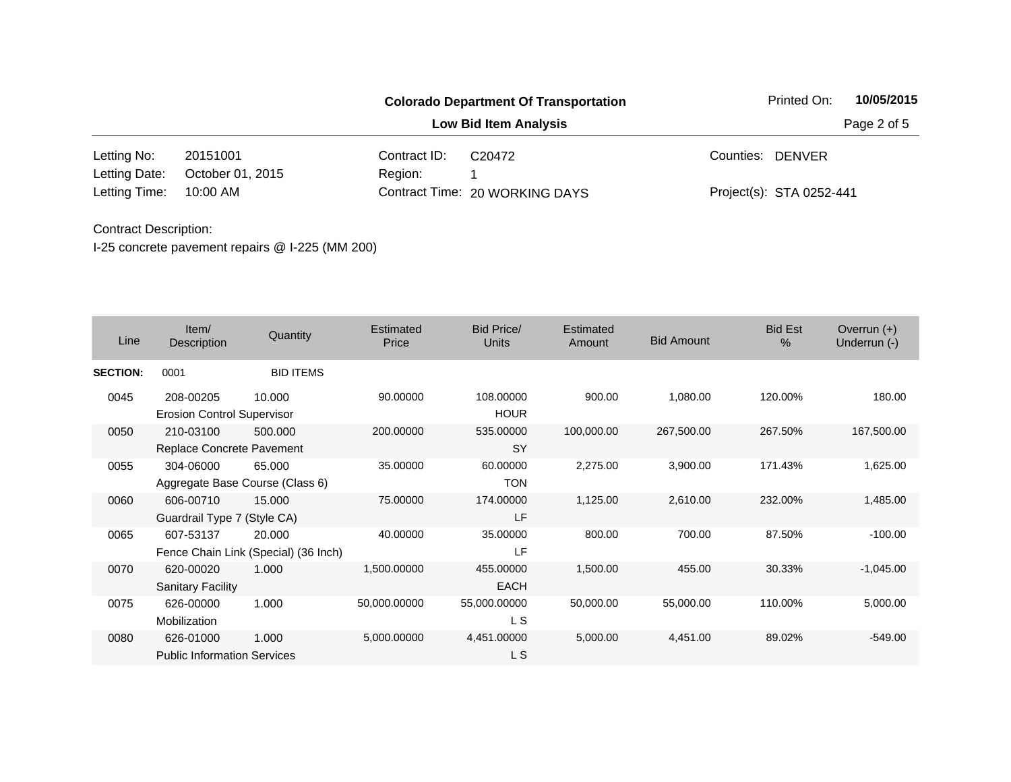|               |                  |              | <b>Colorado Department Of Transportation</b> | Printed On:              | 10/05/2015  |
|---------------|------------------|--------------|----------------------------------------------|--------------------------|-------------|
|               |                  |              | <b>Low Bid Item Analysis</b>                 |                          | Page 2 of 5 |
| Letting No:   | 20151001         | Contract ID: | C <sub>20472</sub>                           | Counties: DENVER         |             |
| Letting Date: | October 01, 2015 | Region:      |                                              |                          |             |
| Letting Time: | 10:00 AM         |              | Contract Time: 20 WORKING DAYS               | Project(s): STA 0252-441 |             |

| Line            | Item/<br>Description                            | Quantity                                       | Estimated<br>Price | <b>Bid Price/</b><br>Units | Estimated<br>Amount | <b>Bid Amount</b> | <b>Bid Est</b><br>$\%$ | Overrun $(+)$<br>Underrun (-) |
|-----------------|-------------------------------------------------|------------------------------------------------|--------------------|----------------------------|---------------------|-------------------|------------------------|-------------------------------|
| <b>SECTION:</b> | 0001                                            | <b>BID ITEMS</b>                               |                    |                            |                     |                   |                        |                               |
| 0045            | 208-00205<br><b>Erosion Control Supervisor</b>  | 10.000                                         | 90.00000           | 108.00000<br><b>HOUR</b>   | 900.00              | 1,080.00          | 120.00%                | 180.00                        |
| 0050            | 210-03100<br>Replace Concrete Pavement          | 500.000                                        | 200.00000          | 535.00000<br><b>SY</b>     | 100,000.00          | 267,500.00        | 267.50%                | 167,500.00                    |
| 0055            | 304-06000<br>Aggregate Base Course (Class 6)    | 65.000                                         | 35.00000           | 60.00000<br><b>TON</b>     | 2,275.00            | 3,900.00          | 171.43%                | 1,625.00                      |
| 0060            | 606-00710<br>Guardrail Type 7 (Style CA)        | 15.000                                         | 75.00000           | 174.00000<br>LF            | 1,125.00            | 2,610.00          | 232.00%                | 1,485.00                      |
| 0065            | 607-53137                                       | 20.000<br>Fence Chain Link (Special) (36 Inch) | 40.00000           | 35.00000<br>LF             | 800.00              | 700.00            | 87.50%                 | $-100.00$                     |
| 0070            | 620-00020<br><b>Sanitary Facility</b>           | 1.000                                          | 1,500.00000        | 455.00000<br><b>EACH</b>   | 1,500.00            | 455.00            | 30.33%                 | $-1,045.00$                   |
| 0075            | 626-00000<br>Mobilization                       | 1.000                                          | 50,000.00000       | 55,000.00000<br>L S        | 50,000.00           | 55,000.00         | 110.00%                | 5,000.00                      |
| 0080            | 626-01000<br><b>Public Information Services</b> | 1.000                                          | 5,000.00000        | 4,451.00000<br>L S         | 5,000.00            | 4,451.00          | 89.02%                 | $-549.00$                     |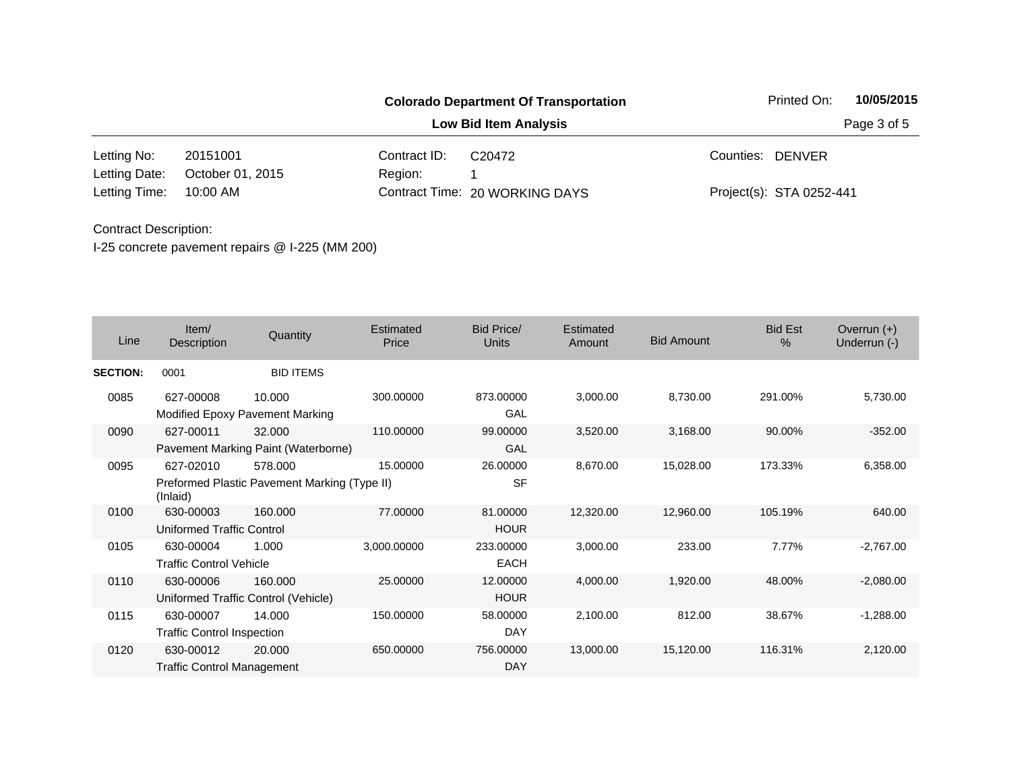|               |                  |              | <b>Colorado Department Of Transportation</b> | Printed On:              | 10/05/2015  |
|---------------|------------------|--------------|----------------------------------------------|--------------------------|-------------|
|               |                  |              | <b>Low Bid Item Analysis</b>                 |                          | Page 3 of 5 |
| Letting No:   | 20151001         | Contract ID: | C <sub>20472</sub>                           | Counties: DENVER         |             |
| Letting Date: | October 01, 2015 | Region:      |                                              |                          |             |
| Letting Time: | 10:00 AM         |              | Contract Time: 20 WORKING DAYS               | Project(s): STA 0252-441 |             |

| Line            | Item/<br>Description                           | Quantity                                                | Estimated<br>Price | Bid Price/<br><b>Units</b> | <b>Estimated</b><br>Amount | <b>Bid Amount</b> | <b>Bid Est</b><br>$\%$ | Overrun $(+)$<br>Underrun (-) |
|-----------------|------------------------------------------------|---------------------------------------------------------|--------------------|----------------------------|----------------------------|-------------------|------------------------|-------------------------------|
| <b>SECTION:</b> | 0001                                           | <b>BID ITEMS</b>                                        |                    |                            |                            |                   |                        |                               |
| 0085            | 627-00008                                      | 10.000<br>Modified Epoxy Pavement Marking               | 300.00000          | 873.00000<br>GAL           | 3,000.00                   | 8,730.00          | 291.00%                | 5,730.00                      |
| 0090            | 627-00011                                      | 32,000<br>Pavement Marking Paint (Waterborne)           | 110.00000          | 99.00000<br>GAL            | 3,520.00                   | 3,168.00          | 90.00%                 | $-352.00$                     |
| 0095            | 627-02010<br>(Inlaid)                          | 578.000<br>Preformed Plastic Pavement Marking (Type II) | 15.00000           | 26.00000<br><b>SF</b>      | 8,670.00                   | 15,028.00         | 173.33%                | 6,358.00                      |
| 0100            | 630-00003<br><b>Uniformed Traffic Control</b>  | 160.000                                                 | 77.00000           | 81.00000<br><b>HOUR</b>    | 12,320.00                  | 12,960.00         | 105.19%                | 640.00                        |
| 0105            | 630-00004<br><b>Traffic Control Vehicle</b>    | 1.000                                                   | 3,000.00000        | 233.00000<br><b>EACH</b>   | 3,000.00                   | 233.00            | 7.77%                  | $-2,767.00$                   |
| 0110            | 630-00006                                      | 160.000<br>Uniformed Traffic Control (Vehicle)          | 25.00000           | 12.00000<br><b>HOUR</b>    | 4,000.00                   | 1,920.00          | 48.00%                 | $-2,080.00$                   |
| 0115            | 630-00007<br><b>Traffic Control Inspection</b> | 14.000                                                  | 150.00000          | 58,00000<br>DAY            | 2,100.00                   | 812.00            | 38.67%                 | $-1,288.00$                   |
| 0120            | 630-00012<br><b>Traffic Control Management</b> | 20.000                                                  | 650.00000          | 756.00000<br><b>DAY</b>    | 13,000.00                  | 15,120.00         | 116.31%                | 2,120.00                      |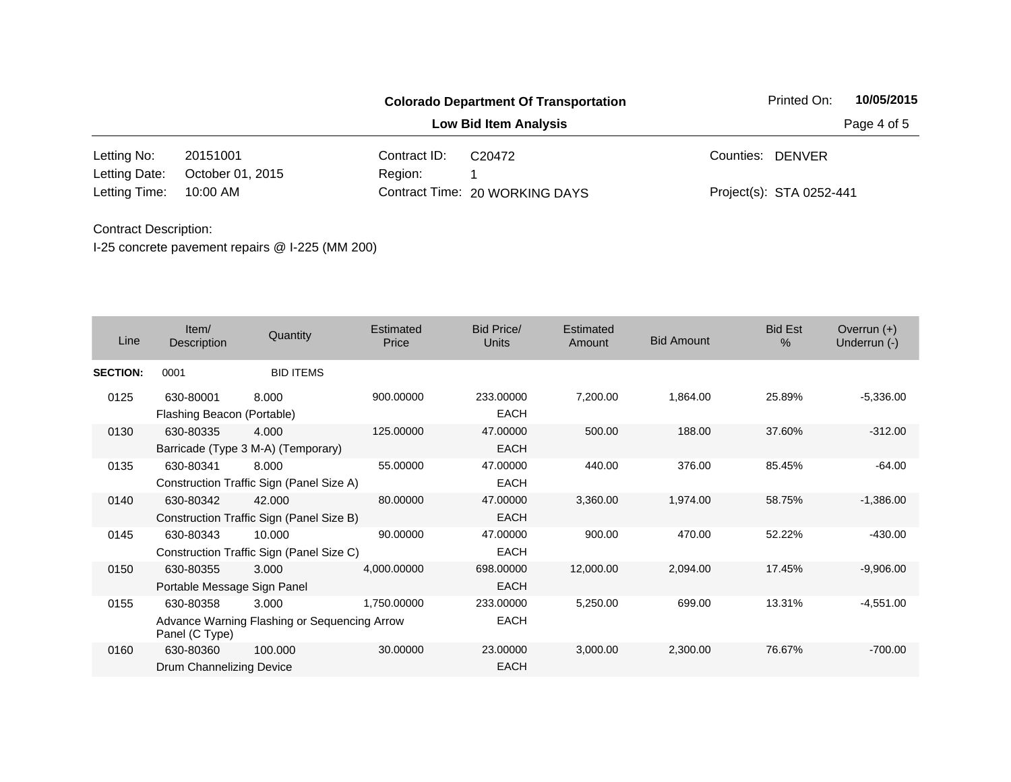|               |                  |              | <b>Colorado Department Of Transportation</b> | Printed On:              | 10/05/2015  |
|---------------|------------------|--------------|----------------------------------------------|--------------------------|-------------|
|               |                  |              | <b>Low Bid Item Analysis</b>                 |                          | Page 4 of 5 |
| Letting No:   | 20151001         | Contract ID: | C20472                                       | Counties: DENVER         |             |
| Letting Date: | October 01, 2015 | Region:      |                                              |                          |             |
| Letting Time: | 10:00 AM         |              | Contract Time: 20 WORKING DAYS               | Project(s): STA 0252-441 |             |

| Line            | Item/<br>Description                     | Quantity                                              | Estimated<br>Price | Bid Price/<br><b>Units</b> | Estimated<br>Amount | <b>Bid Amount</b> | <b>Bid Est</b><br>$\%$ | Overrun $(+)$<br>Underrun (-) |
|-----------------|------------------------------------------|-------------------------------------------------------|--------------------|----------------------------|---------------------|-------------------|------------------------|-------------------------------|
| <b>SECTION:</b> | 0001                                     | <b>BID ITEMS</b>                                      |                    |                            |                     |                   |                        |                               |
| 0125            | 630-80001<br>Flashing Beacon (Portable)  | 8.000                                                 | 900.00000          | 233.00000<br><b>EACH</b>   | 7,200.00            | 1,864.00          | 25.89%                 | $-5,336.00$                   |
| 0130            | 630-80335                                | 4.000<br>Barricade (Type 3 M-A) (Temporary)           | 125.00000          | 47.00000<br><b>EACH</b>    | 500.00              | 188.00            | 37.60%                 | $-312.00$                     |
| 0135            | 630-80341                                | 8.000<br>Construction Traffic Sign (Panel Size A)     | 55.00000           | 47.00000<br><b>EACH</b>    | 440.00              | 376.00            | 85.45%                 | $-64.00$                      |
| 0140            | 630-80342                                | 42.000<br>Construction Traffic Sign (Panel Size B)    | 80.00000           | 47.00000<br><b>EACH</b>    | 3,360.00            | 1,974.00          | 58.75%                 | $-1,386.00$                   |
| 0145            | 630-80343                                | 10.000<br>Construction Traffic Sign (Panel Size C)    | 90.00000           | 47.00000<br><b>EACH</b>    | 900.00              | 470.00            | 52.22%                 | $-430.00$                     |
| 0150            | 630-80355<br>Portable Message Sign Panel | 3.000                                                 | 4,000.00000        | 698.00000<br>EACH          | 12,000.00           | 2,094.00          | 17.45%                 | $-9,906.00$                   |
| 0155            | 630-80358<br>Panel (C Type)              | 3.000<br>Advance Warning Flashing or Sequencing Arrow | 1,750.00000        | 233.00000<br><b>EACH</b>   | 5,250.00            | 699.00            | 13.31%                 | $-4,551.00$                   |
| 0160            | 630-80360<br>Drum Channelizing Device    | 100.000                                               | 30.00000           | 23.00000<br><b>EACH</b>    | 3,000.00            | 2,300.00          | 76.67%                 | $-700.00$                     |